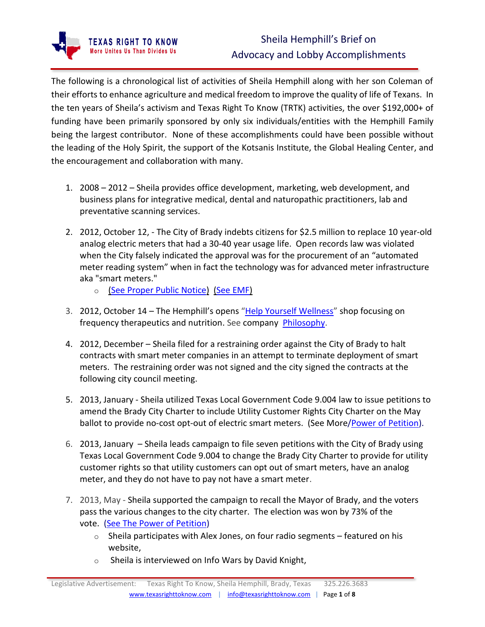The following is a chronological list of activities of Sheila Hemphill along with her son Coleman of their efforts to enhance agriculture and medical freedom to improve the quality of life of Texans. In the ten years of Sheila's activism and Texas Right To Know (TRTK) activities, the over \$192,000+ of funding have been primarily sponsored by only six individuals/entities with the Hemphill Family being the largest contributor. None of these accomplishments could have been possible without the leading of the Holy Spirit, the support of the Kotsanis Institute, the Global Healing Center, and the encouragement and collaboration with many.

- 1. 2008 2012 Sheila provides office development, marketing, web development, and business plans for integrative medical, dental and naturopathic practitioners, lab and preventative scanning services.
- 2. 2012, October 12, The City of Brady indebts citizens for \$2.5 million to replace 10 year-old analog electric meters that had a 30-40 year usage life. Open records law was violated when the City falsely indicated the approval was for the procurement of an "automated meter reading system" when in fact the technology was for advanced meter infrastructure aka "smart meters."
	- o (See Proper Public [Notice\)](https://www.texasrighttoknow.com/proper-public-notice) (See [EMF\)](https://www.texasrighttoknow.com/emf)
- 3. 2012, October 14 The Hemphill's opens "[Help Yourself Wellness](https://i41583.wixsite.com/helpyourself)" shop focusing on frequency therapeutics and nutrition. See company [Philosophy.](https://i41583.wixsite.com/helpyourself/philosophy)
- 4. 2012, December Sheila filed for a restraining order against the City of Brady to halt contracts with smart meter companies in an attempt to terminate deployment of smart meters. The restraining order was not signed and the city signed the contracts at the following city council meeting.
- 5. 2013, January Sheila utilized Texas Local Government Code 9.004 law to issue petitions to amend the Brady City Charter to include Utility Customer Rights City Charter on the May ballot to provide no-cost opt-out of electric smart meters. (See More/Power of [Petition\)](https://www.texasrighttoknow.com/the-power-of-petition).
- 6. 2013, January Sheila leads campaign to file seven petitions with the City of Brady using Texas Local Government Code 9.004 to change the Brady City Charter to provide for utility customer rights so that utility customers can opt out of smart meters, have an analog meter, and they do not have to pay not have a smart meter.
- 7. 2013, May Sheila supported the campaign to recall the Mayor of Brady, and the voters pass the various changes to the city charter. The election was won by 73% of the vote. (See The Power of [Petition\)](https://www.texasrighttoknow.com/the-power-of-petition)
	- $\circ$  Sheila participates with Alex Jones, on four radio segments featured on his website,
	- $\circ$  Sheila is interviewed on Info Wars by David Knight,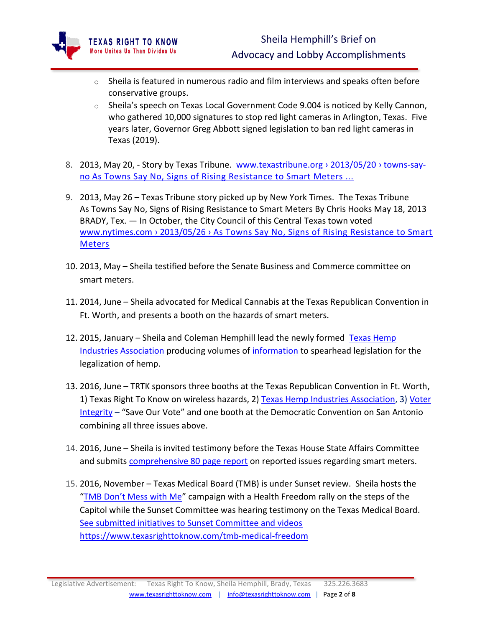

- $\circ$  Sheila is featured in numerous radio and film interviews and speaks often before conservative groups.
- $\circ$  Sheila's speech on Texas Local Government Code 9.004 is noticed by Kelly Cannon, who gathered 10,000 signatures to stop red light cameras in Arlington, Texas. Five years later, Governor Greg Abbott signed legislation to ban red light cameras in Texas (2019).
- 8. 2013, May 20, Story by Texas Tribune. www.texastribune.org > 2013/05/20 > towns-sayno As Towns Say No, Signs of Rising Resistance to Smart Meters ...
- 9. 2013, May 26 Texas Tribune story picked up by New York Times. The Texas Tribune As Towns Say No, Signs of Rising Resistance to Smart Meters By Chris Hooks May 18, 2013 BRADY, Tex. — In October, the City Council of this Central Texas town voted www.nytimes.com › 2013/05/26 › As Towns Say No, Signs of Rising Resistance to Smart **Meters**
- 10. 2013, May Sheila testified before the Senate Business and Commerce committee on smart meters.
- 11. 2014, June Sheila advocated for Medical Cannabis at the Texas Republican Convention in Ft. Worth, and presents a booth on the hazards of smart meters.
- 12. 2015, January Sheila and Coleman Hemphill lead the newly formed Texas Hemp [Industries Association](http://www.texashia.org/) producing volumes of [information](https://www.texashia.org/information) to spearhead legislation for the legalization of hemp.
- 13. 2016, June TRTK sponsors three booths at the Texas Republican Convention in Ft. Worth, 1) Texas Right To Know on wireless hazards, 2) [Texas Hemp Industries Association,](http://www.texashia.org/) 3) Voter [Integrity](https://www.texasrighttoknow.com/save-our-vote) – "Save Our Vote" and one booth at the Democratic Convention on San Antonio combining all three issues above.
- 14. 2016, June Sheila is invited testimony before the Texas House State Affairs Committee and submits [comprehensive 80 page report](https://tlchouse.granicus.com/MediaPlayer.php?view_id=37&clip_id=12085&starttime=11231) on reported issues regarding smart meters.
- 15. 2016, November Texas Medical Board (TMB) is under Sunset review. Sheila hosts the ["TMB Don't Mess with Me"](https://www.texasrighttoknow.com/_files/ugd/0cceca_745665ee98b14b038b84ac6f9f7b2639.pdf) campaign with a Health Freedom rally on the steps of the Capitol while the Sunset Committee was hearing testimony on the Texas Medical Board. [See submitted initiatives to Sunset Committee and videos](file:///C:/Users/info/AppData/Local/Microsoft/Windows/INetCache/Content.Outlook/GVOQLJOA/See%20submitted%20initiatives%20to%20Sunset%20Committee%20and%20videos%20https:/www.texasrighttoknow.com/tmb-medical-freedom)  [https://www.texasrighttoknow.com/tmb-medical-freedom](file:///C:/Users/info/AppData/Local/Microsoft/Windows/INetCache/Content.Outlook/GVOQLJOA/See%20submitted%20initiatives%20to%20Sunset%20Committee%20and%20videos%20https:/www.texasrighttoknow.com/tmb-medical-freedom)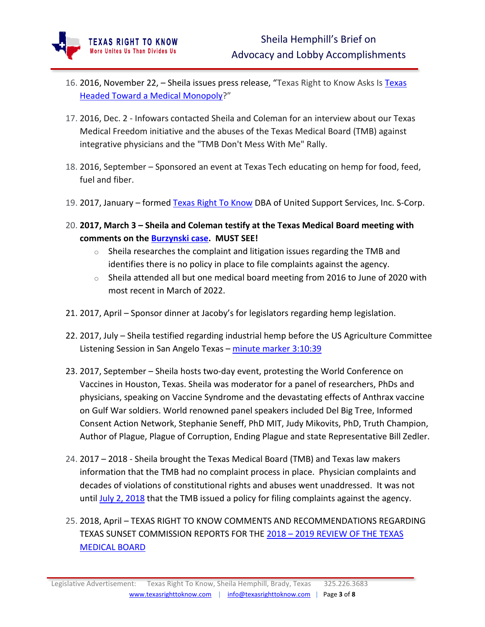

XAS RIGHT TO KNOW **More Unites Us Than Divides Us** 

- 17. 2016, Dec. 2 Infowars contacted Sheila and Coleman for an interview about our Texas Medical Freedom initiative and the abuses of the Texas Medical Board (TMB) against integrative physicians and the "TMB Don't Mess With Me" Rally.
- 18. 2016, September Sponsored an event at Texas Tech educating on hemp for food, feed, fuel and fiber.
- 19. 2017, January formed [Texas Right To Know](http://www.texasrighttoknow.com/) DBA of United Support Services, Inc. S-Corp.
- 20. **2017, March 3 – Sheila and Coleman testify at the Texas Medical Board meeting with comments on the [Burzynski case.](https://www.youtube.com/watch?v=Uiii2FejMo8) MUST SEE!**
	- $\circ$  Sheila researches the complaint and litigation issues regarding the TMB and identifies there is no policy in place to file complaints against the agency.
	- o Sheila attended all but one medical board meeting from 2016 to June of 2020 with most recent in March of 2022.
- 21. 2017, April Sponsor dinner at Jacoby's for legislators regarding hemp legislation.
- 22. 2017, July Sheila testified regarding industrial hemp before the US Agriculture Committee Listening Session in San Angelo Texas – [minute marker 3:10:39](https://www.youtube.com/watch?v=FBiOOxuuIaM&t=11424s)
- 23. 2017, September Sheila hosts two-day event, protesting the World Conference on Vaccines in Houston, Texas. Sheila was moderator for a panel of researchers, PhDs and physicians, speaking on Vaccine Syndrome and the devastating effects of Anthrax vaccine on Gulf War soldiers. World renowned panel speakers included Del Big Tree, Informed Consent Action Network, Stephanie Seneff, PhD MIT, Judy Mikovits, PhD, Truth Champion, Author of Plague, Plague of Corruption, Ending Plague and state Representative Bill Zedler.
- 24. 2017 2018 Sheila brought the Texas Medical Board (TMB) and Texas law makers information that the TMB had no complaint process in place. Physician complaints and decades of violations of constitutional rights and abuses went unaddressed. It was not until [July 2, 2018](https://www.tmb.state.tx.us/idl/D6BDC6DA-6788-B580-EA2D-8305A2E41BEB) that the TMB issued a policy for filing complaints against the agency.
- 25. 2018, April TEXAS RIGHT TO KNOW COMMENTS AND RECOMMENDATIONS REGARDING TEXAS SUNSET COMMISSION REPORTS FOR THE 2018 – [2019 REVIEW OF THE TEXAS](https://www.texasrighttoknow.com/_files/ugd/0cceca_8072e5c5b0004f3b9da7885d6ec0573f.pdf)  [MEDICAL BOARD](https://www.texasrighttoknow.com/_files/ugd/0cceca_8072e5c5b0004f3b9da7885d6ec0573f.pdf)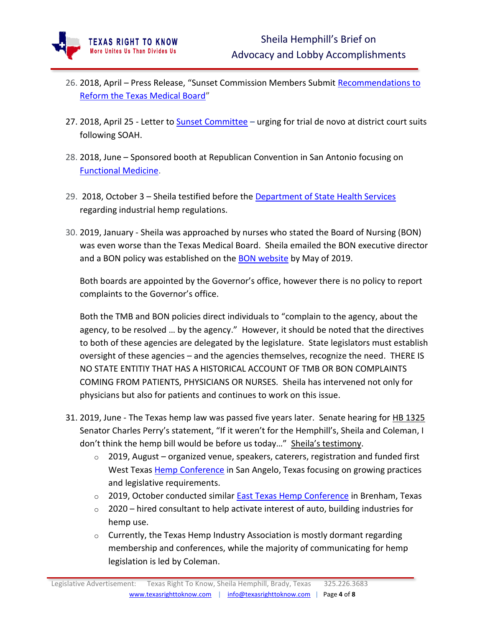- 26. 2018, April Press Release, "Sunset Commission Members Submit [Recommendations to](https://www.prnewswire.com/news-releases/sunset-commission-members-submit-recommendations-to-reform-the-texas-medical-board-300651915.html?tc=eml_cleartime)  [Reform the Texas Medical Board](https://www.prnewswire.com/news-releases/sunset-commission-members-submit-recommendations-to-reform-the-texas-medical-board-300651915.html?tc=eml_cleartime)"
- 27. 2018, April 25 Letter t[o Sunset Committee](https://www.texasrighttoknow.com/_files/ugd/0cceca_d3886b580e304c269fd7bc518eaebd56.pdf) urging for trial de novo at district court suits following SOAH.
- 28. 2018, June Sponsored booth at Republican Convention in San Antonio focusing on [Functional Medicine.](https://www.texasrighttoknow.com/functionalmedicine)
- 29. 2018, October 3 Sheila testified before the [Department of State Health Services](https://www.youtube.com/watch?v=5r4JWD_XX5M&t=1s) regarding industrial hemp regulations.
- 30. 2019, January Sheila was approached by nurses who stated the Board of Nursing (BON) was even worse than the Texas Medical Board. Sheila emailed the BON executive director and a BON policy was established on the [BON website](https://www.bon.texas.gov/Registering_Complaint_Against_the_BON.asp.html) by May of 2019.

Both boards are appointed by the Governor's office, however there is no policy to report complaints to the Governor's office.

Both the TMB and BON policies direct individuals to "complain to the agency, about the agency, to be resolved … by the agency." However, it should be noted that the directives to both of these agencies are delegated by the legislature. State legislators must establish oversight of these agencies – and the agencies themselves, recognize the need. THERE IS NO STATE ENTITIY THAT HAS A HISTORICAL ACCOUNT OF TMB OR BON COMPLAINTS COMING FROM PATIENTS, PHYSICIANS OR NURSES. Sheila has intervened not only for physicians but also for patients and continues to work on this issue.

- 31. 2019, June The Texas hemp law was passed five years later. Senate hearing for [HB 1325](https://tlcsenate.granicus.com/MediaPlayer.php?view_id=45&clip_id=14426&starttime=2305) Senator Charles Perry's statement, "If it weren't for the Hemphill's, Sheila and Coleman, I don't think the hemp bill would be before us today…" [Sheila's testimony](https://tlcsenate.granicus.com/MediaPlayer.php?view_id=45&clip_id=14426&starttime=3275).
	- $\circ$  2019, August organized venue, speakers, caterers, registration and funded first West Texas [Hemp Conference](https://www.youtube.com/watch?v=XauUlThUuP8&t=6s) in San Angelo, Texas focusing on growing practices and legislative requirements.
	- o 2019, October conducted similar [East Texas Hemp Conference](https://www.texashia.org/etx-agenda) in Brenham, Texas
	- $\circ$  2020 hired consultant to help activate interest of auto, building industries for hemp use.
	- o Currently, the Texas Hemp Industry Association is mostly dormant regarding membership and conferences, while the majority of communicating for hemp legislation is led by Coleman.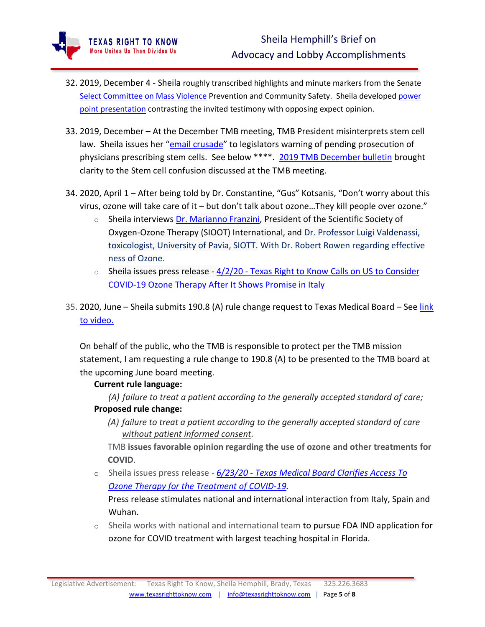- 32. 2019, December 4 Sheila roughly transcribed highlights and minute markers from the Senate [Select Committee on Mass Violence](https://www.texasrighttoknow.com/massviolence) Prevention and Community Safety. Sheila developed [power](https://www.texasrighttoknow.com/_files/ugd/0cceca_6c71d983bef84ebb88036e9c1b95502c.pdf)  [point presentation](https://www.texasrighttoknow.com/_files/ugd/0cceca_6c71d983bef84ebb88036e9c1b95502c.pdf) contrasting the invited testimony with opposing expect opinion.
- 33. 2019, December At the December TMB meeting, TMB President misinterprets stem cell law. Sheila issues her "[email crusade](https://www.texasrighttoknow.com/_files/ugd/0cceca_7c6f85fdfb664d35ac7a03d604bcf774.pdf)" to legislators warning of pending prosecution of physicians prescribing stem cells. See below \*\*\*\*. [2019 TMB December bulletin](https://www.tmb.state.tx.us/dl/26445AF8-A58F-D4F8-2815-DDADA06FBA3D) brought clarity to the Stem cell confusion discussed at the TMB meeting.
- 34. 2020, April 1 After being told by Dr. Constantine, "Gus" Kotsanis, "Don't worry about this virus, ozone will take care of it – but don't talk about ozone…They kill people over ozone."
	- $\circ$  Sheila interviews [Dr. Marianno Franzini,](https://www.youtube.com/watch?v=ClpjwuoPPAo) President of the Scientific Society of Oxygen-Ozone Therapy (SIOOT) International, and Dr. Professor Luigi Valdenassi, toxicologist, University of Pavia, SIOTT. With Dr. Robert Rowen regarding effective ness of Ozone.
	- $\circ$  Sheila issues press release 4/2/20 Texas Right to Know Calls on US to [Consider](https://www.prnewswire.com/news-releases/texas-right-to-know-calls-on-us-to-consider-covid-19-ozone-therapy-after-it-shows-promise-in-italy-301034221.html) [COVID-19](https://www.prnewswire.com/news-releases/texas-right-to-know-calls-on-us-to-consider-covid-19-ozone-therapy-after-it-shows-promise-in-italy-301034221.html) Ozone Therapy After It Shows Promise in Italy
- 35. 2020, June Sheila submits 190.8 (A) rule change request to Texas Medical Board See [link](https://www.youtube.com/watch?v=Qb4Av7rCY0U&t=1s)  [to video.](https://www.youtube.com/watch?v=Qb4Av7rCY0U&t=1s)

On behalf of the public, who the TMB is responsible to protect per the TMB mission statement, I am requesting a rule change to 190.8 (A) to be presented to the TMB board at the upcoming June board meeting.

## **Current rule language:**

*(A) failure to treat a patient according to the generally accepted standard of care;* **Proposed rule change:**

*(A) failure to treat a patient according to the generally accepted standard of care without patient informed consent.*

TMB **issues favorable opinion regarding the use of ozone and other treatments for COVID**.

o Sheila issues press release - *[6/23/20](https://www.prnewswire.com/news-releases/texas-medical-board-clarifies-access-to-ozone-therapy-for-the-treatment-of-covid-19-301081833.html) - Texas Medical Board Clarifies Access To Ozone Therapy for the [Treatment](https://www.prnewswire.com/news-releases/texas-medical-board-clarifies-access-to-ozone-therapy-for-the-treatment-of-covid-19-301081833.html) of COVID-19.*

Press release stimulates national and international interaction from Italy, Spain and Wuhan.

o Sheila works with national and international team to pursue FDA IND application for ozone for COVID treatment with largest teaching hospital in Florida.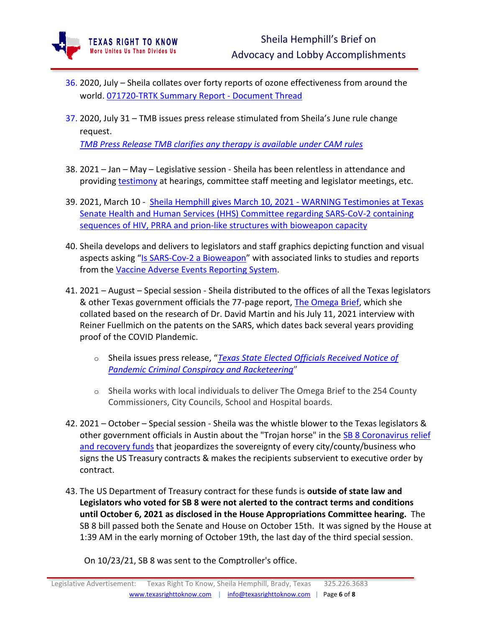- 36. 2020, July Sheila collates over forty reports of ozone effectiveness from around the world[. 071720-TRTK](https://www.texasrighttoknow.com/_files/ugd/0cceca_7823a6d9150c4a8aacd9e154a080d7cc.pdf) Summary Report - Document Thread
- 37. 2020, July 31 TMB issues press release stimulated from Sheila's June rule change request.

*TMB Press [Release](http://www.tmb.state.tx.us/dl/838FA479-6E96-B2B6-BD93-2BE72FA900D9) TMB clarifies any therapy is [available](http://www.tmb.state.tx.us/dl/838FA479-6E96-B2B6-BD93-2BE72FA900D9) under CAM rules*

- 38. 2021 Jan May Legislative session Sheila has been relentless in attendance and providing [testimony](https://www.texasrighttoknow.com/testimonies) at hearings, committee staff meeting and legislator meetings, etc.
- 39. 2021, March 10 Sheila Hemphill gives March 10, 2021 WARNING [Testimonies](https://tlcsenate.granicus.com/MediaPlayer.php?view_id=49&clip_id=15441&entrytime=18216) at Texas Senate Health and Human Services (HHS) Committee regarding [SARS-CoV-2](https://tlcsenate.granicus.com/MediaPlayer.php?view_id=49&clip_id=15441&entrytime=18216) containing sequences of HIV, PRRA and prion-like structures with [bioweapon](https://tlcsenate.granicus.com/MediaPlayer.php?view_id=49&clip_id=15441&entrytime=18216) capacity
- 40. Sheila develops and delivers to legislators and staff graphics depicting function and visual aspects asking "[Is SARS-Cov-2 a Bioweapon](https://www.texasrighttoknow.com/_files/ugd/0cceca_815febd041a3472c9f6cb29378a9550c.pdf)" with associated links to studies and reports from the [Vaccine Adverse Events Reporting System.](https://www.texasrighttoknow.com/_files/ugd/0cceca_b940dd7f80d9476e92c200509edbcf96.pdf)
- 41. 2021 August Special session Sheila distributed to the offices of all the Texas legislators & other Texas government officials the 77-page report, [The Omega Brief,](http://www.theomegabrief.com/) which she collated based on the research of Dr. David Martin and his July 11, 2021 interview with Reiner Fuellmich on the patents on the SARS, which dates back several years providing proof of the COVID Plandemic.
	- o Sheila issues press release, "*[Texas State Elected Officials Received Notice of](https://www.prnewswire.com/news-releases/texas-state-elected-officials-received-notice-of-pandemic-criminal-conspiracy-and-racketeering-301359113.html)  [Pandemic Criminal Conspiracy and Racketeering](https://www.prnewswire.com/news-releases/texas-state-elected-officials-received-notice-of-pandemic-criminal-conspiracy-and-racketeering-301359113.html)*"
	- $\circ$  Sheila works with local individuals to deliver The Omega Brief to the 254 County Commissioners, City Councils, School and Hospital boards.
- 42. 2021 October Special session Sheila was the whistle blower to the Texas legislators & other government officials in Austin about the "Trojan horse" in the SB 8 Coronavirus relief [and recovery funds](https://www.texasrighttoknow.com/_files/ugd/0cceca_843fe7f1846c4ef792ecb30ada96d54c.pdf) that jeopardizes the sovereignty of every city/county/business who signs the US Treasury contracts & makes the recipients subservient to executive order by contract.
- 43. The US Department of Treasury contract for these funds is **outside of state law and Legislators who voted for SB 8 were not alerted to the contract terms and conditions until October 6, 2021 as disclosed in the House Appropriations Committee hearing.** The SB 8 bill passed both the Senate and House on October 15th. It was signed by the House at 1:39 AM in the early morning of October 19th, the last day of the third special session.

On 10/23/21, SB 8 was sent to the Comptroller's office.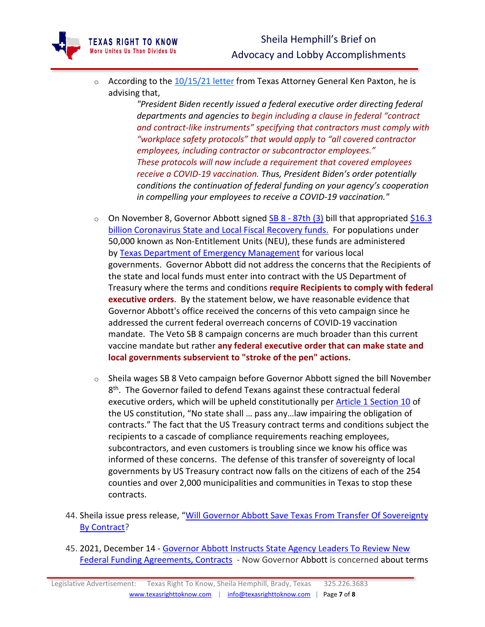

**FEXAS RIGHT TO KNOW** More Unites Us Than Divides Us

> *"President Biden recently issued a federal executive order directing federal departments and agencies to begin including a clause in federal "contract and contract-like instruments" specifying that contractors must comply with "workplace safety protocols" that would apply to "all covered contractor employees, including contractor or subcontractor employees." These protocols will now include a requirement that covered employees receive a COVID-19 vaccination. Thus, President Biden's order potentially conditions the continuation of federal funding on your agency's cooperation in compelling your employees to receive a COVID-19 vaccination."*

- $\circ$  On November 8, Governor Abbott signed SB 8 [87th](https://capitol.texas.gov/BillLookup/Actions.aspx?LegSess=873&Bill=SB8) (3) bill that appropriated [\\$16.3](https://capitol.texas.gov/BillLookup/Actions.aspx?LegSess=873&Bill=SB8) billion [Coronavirus](https://capitol.texas.gov/BillLookup/Actions.aspx?LegSess=873&Bill=SB8) State and Local Fiscal Recovery funds. For populations under 50,000 known as Non-Entitlement Units (NEU), these funds are administered by Texas Department of Emergency [Management](https://tdem.texas.gov/clfrf/) for various local governments. Governor Abbott did not address the concerns that the Recipients of the state and local funds must enter into contract with the US Department of Treasury where the terms and conditions **require Recipients to comply with federal executive orders**. By the statement below, we have reasonable evidence that Governor Abbott's office received the concerns of this veto campaign since he addressed the current federal overreach concerns of COVID-19 vaccination mandate. The Veto SB 8 campaign concerns are much broader than this current vaccine mandate but rather **any federal executive order that can make state and local governments subservient to "stroke of the pen" actions.**
- o Sheila wages SB 8 Veto campaign before Governor Abbott signed the bill November 8<sup>th</sup>. The Governor failed to defend Texans against these contractual federal executive orders, which will be upheld constitutionally per Article 1 [Section](https://constitution.congress.gov/constitution/article-1/) 10 of the US constitution, "No state shall … pass any…law impairing the obligation of contracts." The fact that the US Treasury contract terms and conditions subject the recipients to a cascade of compliance requirements reaching employees, subcontractors, and even customers is troubling since we know his office was informed of these concerns. The defense of this transfer of sovereignty of local governments by US Treasury contract now falls on the citizens of each of the 254 counties and over 2,000 municipalities and communities in Texas to stop these contracts.
- 44. Sheila issue press release, "Will Governor Abbott Save Texas From Transfer Of Sovereignty [By Contract?](https://www.prnewswire.com/news-releases/will-governor-abbott-save-texas-from-transfer-of-sovereignty-by-contract-301409905.html)
- 45. 2021, December 14 [Governor Abbott Instructs State Agency Leaders To Review New](https://gov.texas.gov/news/post/governor-abbott-instructs-state-agency-leaders-to-review-new-federal-funding-agreements-contracts)  [Federal Funding Agreements, Contracts](https://gov.texas.gov/news/post/governor-abbott-instructs-state-agency-leaders-to-review-new-federal-funding-agreements-contracts) - Now Governor Abbott is concerned about terms